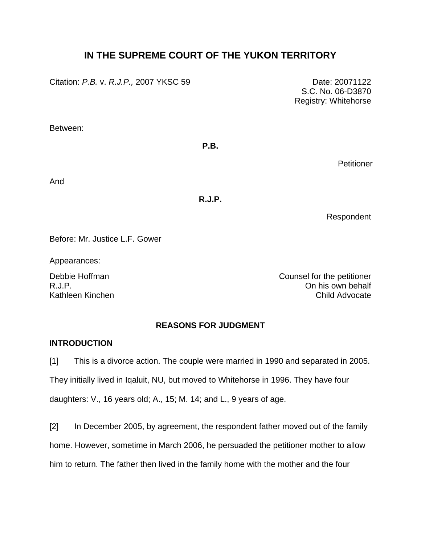# **IN THE SUPREME COURT OF THE YUKON TERRITORY**

Citation: *P.B.* v. *R.J.P.,* 2007 YKSC 59 Date: 20071122

S.C. No. 06-D3870 Registry: Whitehorse

Between:

## **P.B.**

**Petitioner** 

And

**R.J.P.** 

Respondent

Before: Mr. Justice L.F. Gower

Appearances:

Debbie Hoffman **Counsel for the petitioner** R.J.P. On his own behalf Kathleen Kinchen Child Advocate

# **REASONS FOR JUDGMENT**

# **INTRODUCTION**

[1] This is a divorce action. The couple were married in 1990 and separated in 2005. They initially lived in Iqaluit, NU, but moved to Whitehorse in 1996. They have four daughters: V., 16 years old; A., 15; M. 14; and L., 9 years of age.

[2] In December 2005, by agreement, the respondent father moved out of the family home. However, sometime in March 2006, he persuaded the petitioner mother to allow him to return. The father then lived in the family home with the mother and the four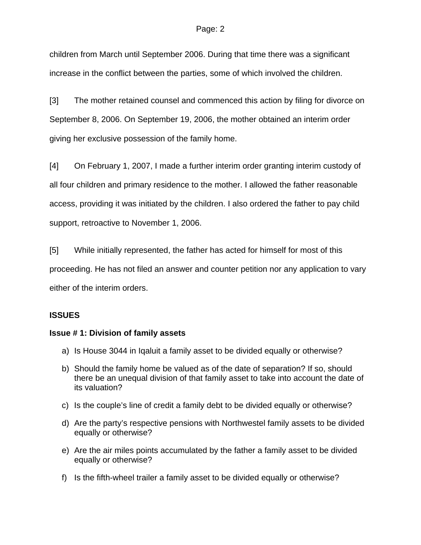children from March until September 2006. During that time there was a significant increase in the conflict between the parties, some of which involved the children.

[3] The mother retained counsel and commenced this action by filing for divorce on September 8, 2006. On September 19, 2006, the mother obtained an interim order giving her exclusive possession of the family home.

[4] On February 1, 2007, I made a further interim order granting interim custody of all four children and primary residence to the mother. I allowed the father reasonable access, providing it was initiated by the children. I also ordered the father to pay child support, retroactive to November 1, 2006.

[5] While initially represented, the father has acted for himself for most of this proceeding. He has not filed an answer and counter petition nor any application to vary either of the interim orders.

# **ISSUES**

# **Issue # 1: Division of family assets**

- a) Is House 3044 in Iqaluit a family asset to be divided equally or otherwise?
- b) Should the family home be valued as of the date of separation? If so, should there be an unequal division of that family asset to take into account the date of its valuation?
- c) Is the couple's line of credit a family debt to be divided equally or otherwise?
- d) Are the party's respective pensions with Northwestel family assets to be divided equally or otherwise?
- e) Are the air miles points accumulated by the father a family asset to be divided equally or otherwise?
- f) Is the fifth-wheel trailer a family asset to be divided equally or otherwise?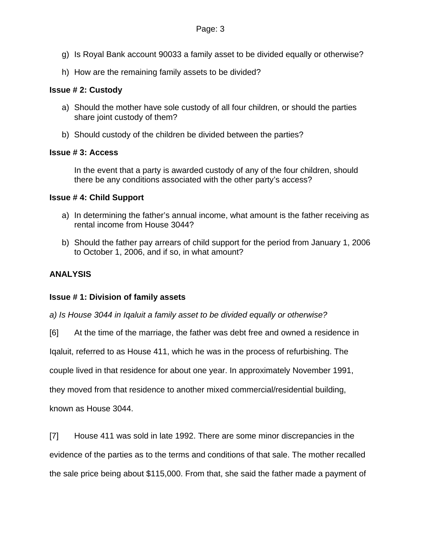- g) Is Royal Bank account 90033 a family asset to be divided equally or otherwise?
- h) How are the remaining family assets to be divided?

## **Issue # 2: Custody**

- a) Should the mother have sole custody of all four children, or should the parties share joint custody of them?
- b) Should custody of the children be divided between the parties?

## **Issue # 3: Access**

In the event that a party is awarded custody of any of the four children, should there be any conditions associated with the other party's access?

## **Issue # 4: Child Support**

- a) In determining the father's annual income, what amount is the father receiving as rental income from House 3044?
- b) Should the father pay arrears of child support for the period from January 1, 2006 to October 1, 2006, and if so, in what amount?

# **ANALYSIS**

# **Issue # 1: Division of family assets**

*a) Is House 3044 in Iqaluit a family asset to be divided equally or otherwise?* 

[6] At the time of the marriage, the father was debt free and owned a residence in

Iqaluit, referred to as House 411, which he was in the process of refurbishing. The

couple lived in that residence for about one year. In approximately November 1991,

they moved from that residence to another mixed commercial/residential building,

known as House 3044.

[7] House 411 was sold in late 1992. There are some minor discrepancies in the evidence of the parties as to the terms and conditions of that sale. The mother recalled the sale price being about \$115,000. From that, she said the father made a payment of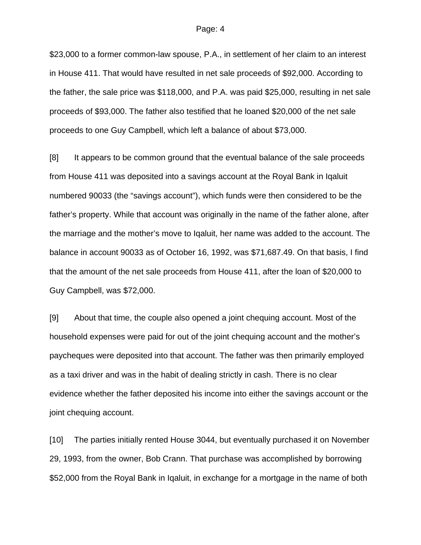\$23,000 to a former common-law spouse, P.A., in settlement of her claim to an interest in House 411. That would have resulted in net sale proceeds of \$92,000. According to the father, the sale price was \$118,000, and P.A. was paid \$25,000, resulting in net sale proceeds of \$93,000. The father also testified that he loaned \$20,000 of the net sale proceeds to one Guy Campbell, which left a balance of about \$73,000.

[8] It appears to be common ground that the eventual balance of the sale proceeds from House 411 was deposited into a savings account at the Royal Bank in Iqaluit numbered 90033 (the "savings account"), which funds were then considered to be the father's property. While that account was originally in the name of the father alone, after the marriage and the mother's move to Iqaluit, her name was added to the account. The balance in account 90033 as of October 16, 1992, was \$71,687.49. On that basis, I find that the amount of the net sale proceeds from House 411, after the loan of \$20,000 to Guy Campbell, was \$72,000.

[9] About that time, the couple also opened a joint chequing account. Most of the household expenses were paid for out of the joint chequing account and the mother's paycheques were deposited into that account. The father was then primarily employed as a taxi driver and was in the habit of dealing strictly in cash. There is no clear evidence whether the father deposited his income into either the savings account or the joint chequing account.

[10] The parties initially rented House 3044, but eventually purchased it on November 29, 1993, from the owner, Bob Crann. That purchase was accomplished by borrowing \$52,000 from the Royal Bank in Iqaluit, in exchange for a mortgage in the name of both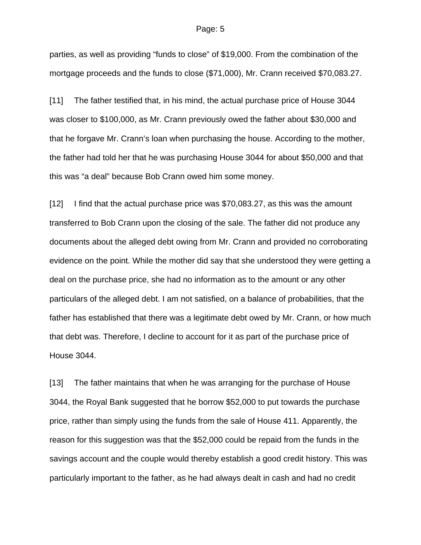parties, as well as providing "funds to close" of \$19,000. From the combination of the mortgage proceeds and the funds to close (\$71,000), Mr. Crann received \$70,083.27.

[11] The father testified that, in his mind, the actual purchase price of House 3044 was closer to \$100,000, as Mr. Crann previously owed the father about \$30,000 and that he forgave Mr. Crann's loan when purchasing the house. According to the mother, the father had told her that he was purchasing House 3044 for about \$50,000 and that this was "a deal" because Bob Crann owed him some money.

[12] I find that the actual purchase price was \$70,083.27, as this was the amount transferred to Bob Crann upon the closing of the sale. The father did not produce any documents about the alleged debt owing from Mr. Crann and provided no corroborating evidence on the point. While the mother did say that she understood they were getting a deal on the purchase price, she had no information as to the amount or any other particulars of the alleged debt. I am not satisfied, on a balance of probabilities, that the father has established that there was a legitimate debt owed by Mr. Crann, or how much that debt was. Therefore, I decline to account for it as part of the purchase price of House 3044.

[13] The father maintains that when he was arranging for the purchase of House 3044, the Royal Bank suggested that he borrow \$52,000 to put towards the purchase price, rather than simply using the funds from the sale of House 411. Apparently, the reason for this suggestion was that the \$52,000 could be repaid from the funds in the savings account and the couple would thereby establish a good credit history. This was particularly important to the father, as he had always dealt in cash and had no credit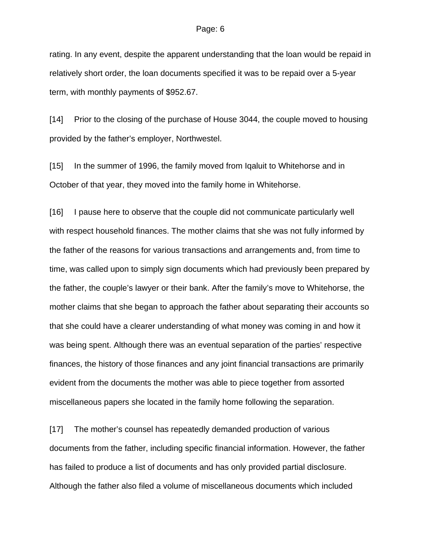rating. In any event, despite the apparent understanding that the loan would be repaid in relatively short order, the loan documents specified it was to be repaid over a 5-year term, with monthly payments of \$952.67.

[14] Prior to the closing of the purchase of House 3044, the couple moved to housing provided by the father's employer, Northwestel.

[15] In the summer of 1996, the family moved from Iqaluit to Whitehorse and in October of that year, they moved into the family home in Whitehorse.

[16] I pause here to observe that the couple did not communicate particularly well with respect household finances. The mother claims that she was not fully informed by the father of the reasons for various transactions and arrangements and, from time to time, was called upon to simply sign documents which had previously been prepared by the father, the couple's lawyer or their bank. After the family's move to Whitehorse, the mother claims that she began to approach the father about separating their accounts so that she could have a clearer understanding of what money was coming in and how it was being spent. Although there was an eventual separation of the parties' respective finances, the history of those finances and any joint financial transactions are primarily evident from the documents the mother was able to piece together from assorted miscellaneous papers she located in the family home following the separation.

[17] The mother's counsel has repeatedly demanded production of various documents from the father, including specific financial information. However, the father has failed to produce a list of documents and has only provided partial disclosure. Although the father also filed a volume of miscellaneous documents which included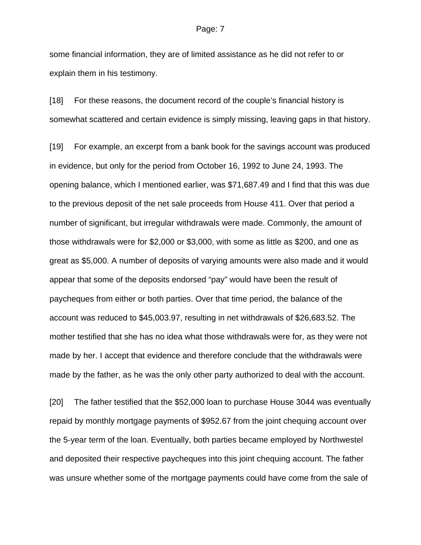some financial information, they are of limited assistance as he did not refer to or explain them in his testimony.

[18] For these reasons, the document record of the couple's financial history is somewhat scattered and certain evidence is simply missing, leaving gaps in that history.

[19] For example, an excerpt from a bank book for the savings account was produced in evidence, but only for the period from October 16, 1992 to June 24, 1993. The opening balance, which I mentioned earlier, was \$71,687.49 and I find that this was due to the previous deposit of the net sale proceeds from House 411. Over that period a number of significant, but irregular withdrawals were made. Commonly, the amount of those withdrawals were for \$2,000 or \$3,000, with some as little as \$200, and one as great as \$5,000. A number of deposits of varying amounts were also made and it would appear that some of the deposits endorsed "pay" would have been the result of paycheques from either or both parties. Over that time period, the balance of the account was reduced to \$45,003.97, resulting in net withdrawals of \$26,683.52. The mother testified that she has no idea what those withdrawals were for, as they were not made by her. I accept that evidence and therefore conclude that the withdrawals were made by the father, as he was the only other party authorized to deal with the account.

[20] The father testified that the \$52,000 loan to purchase House 3044 was eventually repaid by monthly mortgage payments of \$952.67 from the joint chequing account over the 5-year term of the loan. Eventually, both parties became employed by Northwestel and deposited their respective paycheques into this joint chequing account. The father was unsure whether some of the mortgage payments could have come from the sale of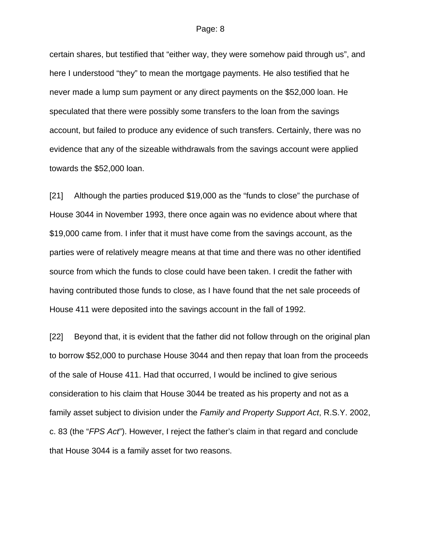certain shares, but testified that "either way, they were somehow paid through us", and here I understood "they" to mean the mortgage payments. He also testified that he never made a lump sum payment or any direct payments on the \$52,000 loan. He speculated that there were possibly some transfers to the loan from the savings account, but failed to produce any evidence of such transfers. Certainly, there was no evidence that any of the sizeable withdrawals from the savings account were applied towards the \$52,000 loan.

[21] Although the parties produced \$19,000 as the "funds to close" the purchase of House 3044 in November 1993, there once again was no evidence about where that \$19,000 came from. I infer that it must have come from the savings account, as the parties were of relatively meagre means at that time and there was no other identified source from which the funds to close could have been taken. I credit the father with having contributed those funds to close, as I have found that the net sale proceeds of House 411 were deposited into the savings account in the fall of 1992.

[22] Beyond that, it is evident that the father did not follow through on the original plan to borrow \$52,000 to purchase House 3044 and then repay that loan from the proceeds of the sale of House 411. Had that occurred, I would be inclined to give serious consideration to his claim that House 3044 be treated as his property and not as a family asset subject to division under the *Family and Property Support Act*, R.S.Y. 2002, c. 83 (the "*FPS Act*"). However, I reject the father's claim in that regard and conclude that House 3044 is a family asset for two reasons.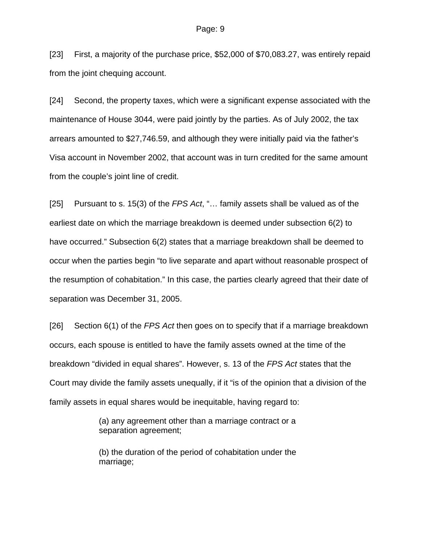[23] First, a majority of the purchase price, \$52,000 of \$70,083.27, was entirely repaid from the joint chequing account.

[24] Second, the property taxes, which were a significant expense associated with the maintenance of House 3044, were paid jointly by the parties. As of July 2002, the tax arrears amounted to \$27,746.59, and although they were initially paid via the father's Visa account in November 2002, that account was in turn credited for the same amount from the couple's joint line of credit.

[25] Pursuant to s. 15(3) of the *FPS Act*, "… family assets shall be valued as of the earliest date on which the marriage breakdown is deemed under subsection 6(2) to have occurred." Subsection 6(2) states that a marriage breakdown shall be deemed to occur when the parties begin "to live separate and apart without reasonable prospect of the resumption of cohabitation." In this case, the parties clearly agreed that their date of separation was December 31, 2005.

[26] Section 6(1) of the *FPS Act* then goes on to specify that if a marriage breakdown occurs, each spouse is entitled to have the family assets owned at the time of the breakdown "divided in equal shares". However, s. 13 of the *FPS Act* states that the Court may divide the family assets unequally, if it "is of the opinion that a division of the family assets in equal shares would be inequitable, having regard to:

> (a) any agreement other than a marriage contract or a separation agreement;

> (b) the duration of the period of cohabitation under the marriage;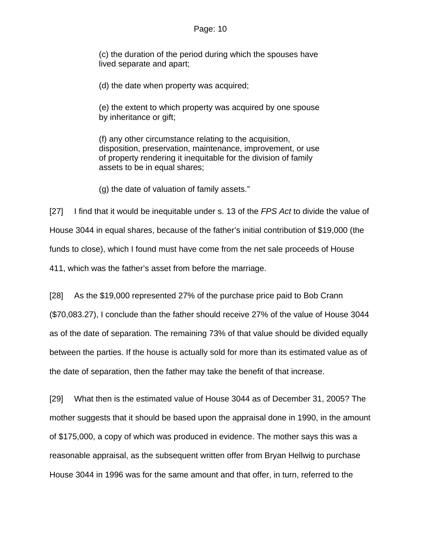(c) the duration of the period during which the spouses have lived separate and apart;

(d) the date when property was acquired;

(e) the extent to which property was acquired by one spouse by inheritance or gift;

(f) any other circumstance relating to the acquisition, disposition, preservation, maintenance, improvement, or use of property rendering it inequitable for the division of family assets to be in equal shares;

(g) the date of valuation of family assets."

[27] I find that it would be inequitable under s. 13 of the *FPS Act* to divide the value of House 3044 in equal shares, because of the father's initial contribution of \$19,000 (the funds to close), which I found must have come from the net sale proceeds of House 411, which was the father's asset from before the marriage.

[28] As the \$19,000 represented 27% of the purchase price paid to Bob Crann (\$70,083.27), I conclude than the father should receive 27% of the value of House 3044 as of the date of separation. The remaining 73% of that value should be divided equally between the parties. If the house is actually sold for more than its estimated value as of the date of separation, then the father may take the benefit of that increase.

[29] What then is the estimated value of House 3044 as of December 31, 2005? The mother suggests that it should be based upon the appraisal done in 1990, in the amount of \$175,000, a copy of which was produced in evidence. The mother says this was a reasonable appraisal, as the subsequent written offer from Bryan Hellwig to purchase House 3044 in 1996 was for the same amount and that offer, in turn, referred to the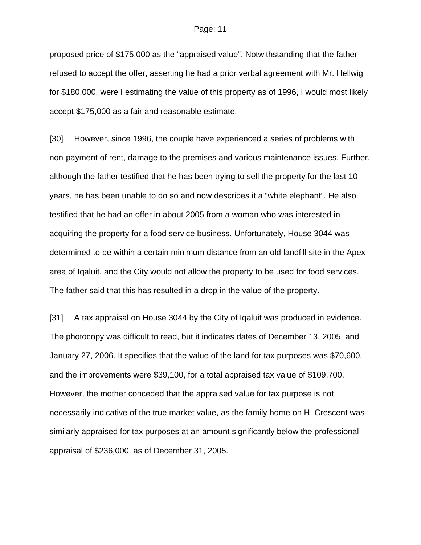proposed price of \$175,000 as the "appraised value". Notwithstanding that the father refused to accept the offer, asserting he had a prior verbal agreement with Mr. Hellwig for \$180,000, were I estimating the value of this property as of 1996, I would most likely accept \$175,000 as a fair and reasonable estimate.

[30] However, since 1996, the couple have experienced a series of problems with non-payment of rent, damage to the premises and various maintenance issues. Further, although the father testified that he has been trying to sell the property for the last 10 years, he has been unable to do so and now describes it a "white elephant". He also testified that he had an offer in about 2005 from a woman who was interested in acquiring the property for a food service business. Unfortunately, House 3044 was determined to be within a certain minimum distance from an old landfill site in the Apex area of Iqaluit, and the City would not allow the property to be used for food services. The father said that this has resulted in a drop in the value of the property.

[31] A tax appraisal on House 3044 by the City of Iqaluit was produced in evidence. The photocopy was difficult to read, but it indicates dates of December 13, 2005, and January 27, 2006. It specifies that the value of the land for tax purposes was \$70,600, and the improvements were \$39,100, for a total appraised tax value of \$109,700. However, the mother conceded that the appraised value for tax purpose is not necessarily indicative of the true market value, as the family home on H. Crescent was similarly appraised for tax purposes at an amount significantly below the professional appraisal of \$236,000, as of December 31, 2005.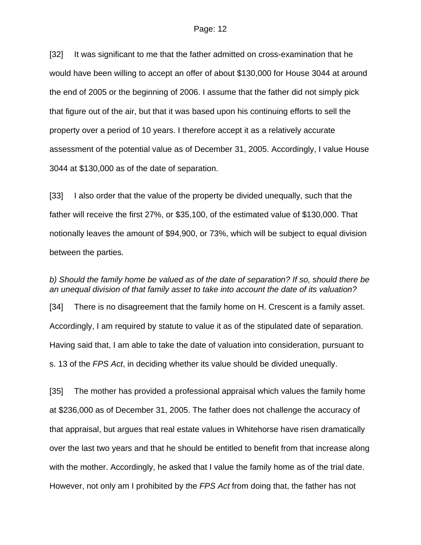[32] It was significant to me that the father admitted on cross-examination that he would have been willing to accept an offer of about \$130,000 for House 3044 at around the end of 2005 or the beginning of 2006. I assume that the father did not simply pick that figure out of the air, but that it was based upon his continuing efforts to sell the property over a period of 10 years. I therefore accept it as a relatively accurate assessment of the potential value as of December 31, 2005. Accordingly, I value House 3044 at \$130,000 as of the date of separation.

[33] I also order that the value of the property be divided unequally, such that the father will receive the first 27%, or \$35,100, of the estimated value of \$130,000. That notionally leaves the amount of \$94,900, or 73%, which will be subject to equal division between the parties.

*b) Should the family home be valued as of the date of separation? If so, should there be an unequal division of that family asset to take into account the date of its valuation?*  [34] There is no disagreement that the family home on H. Crescent is a family asset. Accordingly, I am required by statute to value it as of the stipulated date of separation. Having said that, I am able to take the date of valuation into consideration, pursuant to s. 13 of the *FPS Act*, in deciding whether its value should be divided unequally.

[35] The mother has provided a professional appraisal which values the family home at \$236,000 as of December 31, 2005. The father does not challenge the accuracy of that appraisal, but argues that real estate values in Whitehorse have risen dramatically over the last two years and that he should be entitled to benefit from that increase along with the mother. Accordingly, he asked that I value the family home as of the trial date. However, not only am I prohibited by the *FPS Act* from doing that, the father has not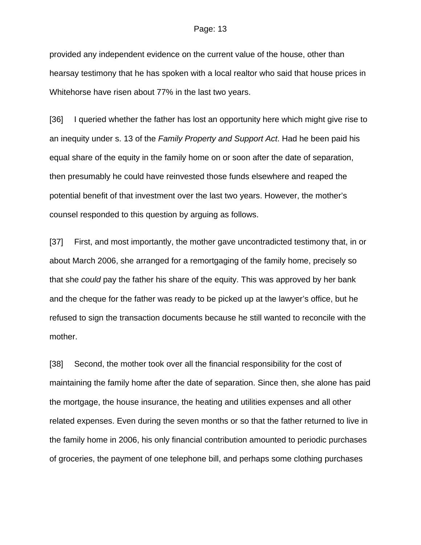provided any independent evidence on the current value of the house, other than hearsay testimony that he has spoken with a local realtor who said that house prices in Whitehorse have risen about 77% in the last two years.

[36] I queried whether the father has lost an opportunity here which might give rise to an inequity under s. 13 of the *Family Property and Support Act*. Had he been paid his equal share of the equity in the family home on or soon after the date of separation, then presumably he could have reinvested those funds elsewhere and reaped the potential benefit of that investment over the last two years. However, the mother's counsel responded to this question by arguing as follows.

[37] First, and most importantly, the mother gave uncontradicted testimony that, in or about March 2006, she arranged for a remortgaging of the family home, precisely so that she *could* pay the father his share of the equity. This was approved by her bank and the cheque for the father was ready to be picked up at the lawyer's office, but he refused to sign the transaction documents because he still wanted to reconcile with the mother.

[38] Second, the mother took over all the financial responsibility for the cost of maintaining the family home after the date of separation. Since then, she alone has paid the mortgage, the house insurance, the heating and utilities expenses and all other related expenses. Even during the seven months or so that the father returned to live in the family home in 2006, his only financial contribution amounted to periodic purchases of groceries, the payment of one telephone bill, and perhaps some clothing purchases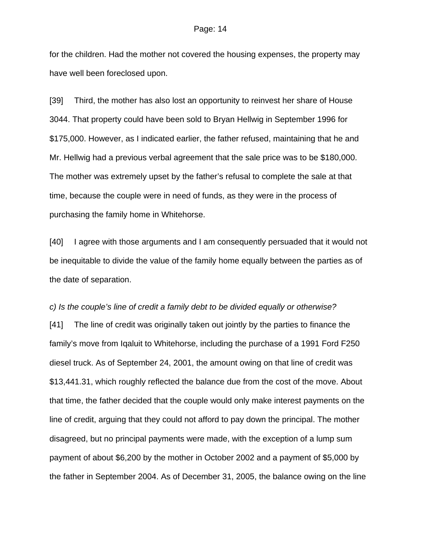for the children. Had the mother not covered the housing expenses, the property may have well been foreclosed upon.

[39] Third, the mother has also lost an opportunity to reinvest her share of House 3044. That property could have been sold to Bryan Hellwig in September 1996 for \$175,000. However, as I indicated earlier, the father refused, maintaining that he and Mr. Hellwig had a previous verbal agreement that the sale price was to be \$180,000. The mother was extremely upset by the father's refusal to complete the sale at that time, because the couple were in need of funds, as they were in the process of purchasing the family home in Whitehorse.

[40] I agree with those arguments and I am consequently persuaded that it would not be inequitable to divide the value of the family home equally between the parties as of the date of separation.

*c) Is the couple's line of credit a family debt to be divided equally or otherwise?*  [41] The line of credit was originally taken out jointly by the parties to finance the family's move from Iqaluit to Whitehorse, including the purchase of a 1991 Ford F250 diesel truck. As of September 24, 2001, the amount owing on that line of credit was \$13,441.31, which roughly reflected the balance due from the cost of the move. About that time, the father decided that the couple would only make interest payments on the line of credit, arguing that they could not afford to pay down the principal. The mother disagreed, but no principal payments were made, with the exception of a lump sum payment of about \$6,200 by the mother in October 2002 and a payment of \$5,000 by the father in September 2004. As of December 31, 2005, the balance owing on the line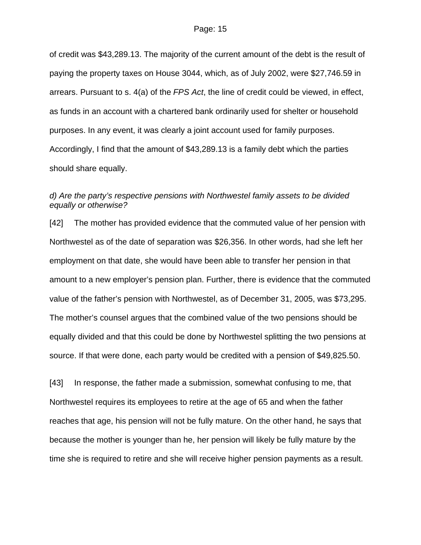of credit was \$43,289.13. The majority of the current amount of the debt is the result of paying the property taxes on House 3044, which, as of July 2002, were \$27,746.59 in arrears. Pursuant to s. 4(a) of the *FPS Act*, the line of credit could be viewed, in effect, as funds in an account with a chartered bank ordinarily used for shelter or household purposes. In any event, it was clearly a joint account used for family purposes. Accordingly, I find that the amount of \$43,289.13 is a family debt which the parties should share equally.

## *d) Are the party's respective pensions with Northwestel family assets to be divided equally or otherwise?*

[42] The mother has provided evidence that the commuted value of her pension with Northwestel as of the date of separation was \$26,356. In other words, had she left her employment on that date, she would have been able to transfer her pension in that amount to a new employer's pension plan. Further, there is evidence that the commuted value of the father's pension with Northwestel, as of December 31, 2005, was \$73,295. The mother's counsel argues that the combined value of the two pensions should be equally divided and that this could be done by Northwestel splitting the two pensions at source. If that were done, each party would be credited with a pension of \$49,825.50.

[43] In response, the father made a submission, somewhat confusing to me, that Northwestel requires its employees to retire at the age of 65 and when the father reaches that age, his pension will not be fully mature. On the other hand, he says that because the mother is younger than he, her pension will likely be fully mature by the time she is required to retire and she will receive higher pension payments as a result.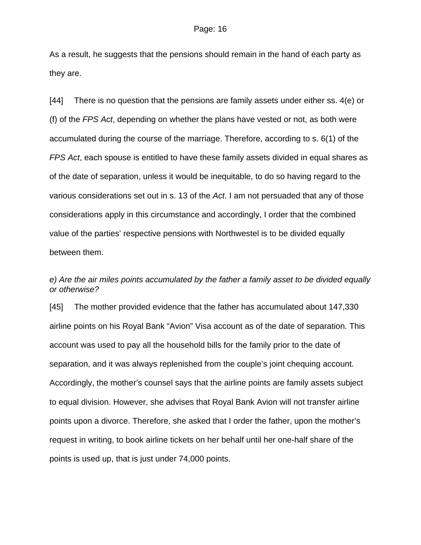As a result, he suggests that the pensions should remain in the hand of each party as they are.

[44] There is no question that the pensions are family assets under either ss. 4(e) or (f) of the *FPS Act*, depending on whether the plans have vested or not, as both were accumulated during the course of the marriage. Therefore, according to s. 6(1) of the *FPS Act*, each spouse is entitled to have these family assets divided in equal shares as of the date of separation, unless it would be inequitable, to do so having regard to the various considerations set out in s. 13 of the *Act*. I am not persuaded that any of those considerations apply in this circumstance and accordingly, I order that the combined value of the parties' respective pensions with Northwestel is to be divided equally between them.

## *e) Are the air miles points accumulated by the father a family asset to be divided equally or otherwise?*

[45] The mother provided evidence that the father has accumulated about 147,330 airline points on his Royal Bank "Avion" Visa account as of the date of separation. This account was used to pay all the household bills for the family prior to the date of separation, and it was always replenished from the couple's joint chequing account. Accordingly, the mother's counsel says that the airline points are family assets subject to equal division. However, she advises that Royal Bank Avion will not transfer airline points upon a divorce. Therefore, she asked that I order the father, upon the mother's request in writing, to book airline tickets on her behalf until her one-half share of the points is used up, that is just under 74,000 points.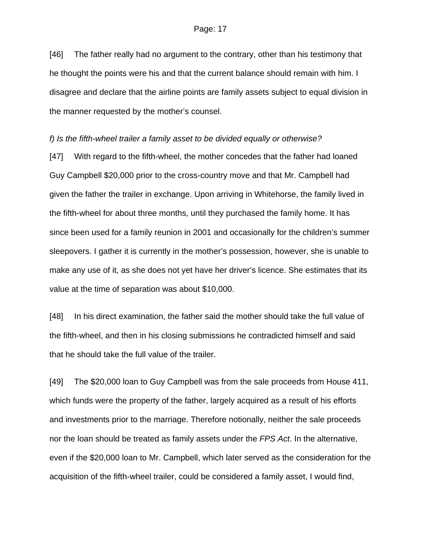[46] The father really had no argument to the contrary, other than his testimony that he thought the points were his and that the current balance should remain with him. I disagree and declare that the airline points are family assets subject to equal division in the manner requested by the mother's counsel.

### *f) Is the fifth-wheel trailer a family asset to be divided equally or otherwise?*

[47] With regard to the fifth-wheel, the mother concedes that the father had loaned Guy Campbell \$20,000 prior to the cross-country move and that Mr. Campbell had given the father the trailer in exchange. Upon arriving in Whitehorse, the family lived in the fifth-wheel for about three months, until they purchased the family home. It has since been used for a family reunion in 2001 and occasionally for the children's summer sleepovers. I gather it is currently in the mother's possession, however, she is unable to make any use of it, as she does not yet have her driver's licence. She estimates that its value at the time of separation was about \$10,000.

[48] In his direct examination, the father said the mother should take the full value of the fifth-wheel, and then in his closing submissions he contradicted himself and said that he should take the full value of the trailer.

[49] The \$20,000 loan to Guy Campbell was from the sale proceeds from House 411, which funds were the property of the father, largely acquired as a result of his efforts and investments prior to the marriage. Therefore notionally, neither the sale proceeds nor the loan should be treated as family assets under the *FPS Act*. In the alternative, even if the \$20,000 loan to Mr. Campbell, which later served as the consideration for the acquisition of the fifth-wheel trailer, could be considered a family asset, I would find,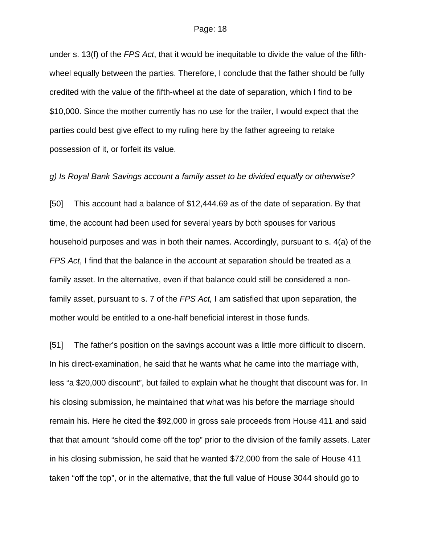under s. 13(f) of the *FPS Act*, that it would be inequitable to divide the value of the fifthwheel equally between the parties. Therefore, I conclude that the father should be fully credited with the value of the fifth-wheel at the date of separation, which I find to be \$10,000. Since the mother currently has no use for the trailer, I would expect that the parties could best give effect to my ruling here by the father agreeing to retake possession of it, or forfeit its value.

### *g) Is Royal Bank Savings account a family asset to be divided equally or otherwise?*

[50] This account had a balance of \$12,444.69 as of the date of separation. By that time, the account had been used for several years by both spouses for various household purposes and was in both their names. Accordingly, pursuant to s. 4(a) of the *FPS Act*, I find that the balance in the account at separation should be treated as a family asset. In the alternative, even if that balance could still be considered a nonfamily asset, pursuant to s. 7 of the *FPS Act,* I am satisfied that upon separation, the mother would be entitled to a one-half beneficial interest in those funds.

[51] The father's position on the savings account was a little more difficult to discern. In his direct-examination, he said that he wants what he came into the marriage with, less "a \$20,000 discount", but failed to explain what he thought that discount was for. In his closing submission, he maintained that what was his before the marriage should remain his. Here he cited the \$92,000 in gross sale proceeds from House 411 and said that that amount "should come off the top" prior to the division of the family assets. Later in his closing submission, he said that he wanted \$72,000 from the sale of House 411 taken "off the top", or in the alternative, that the full value of House 3044 should go to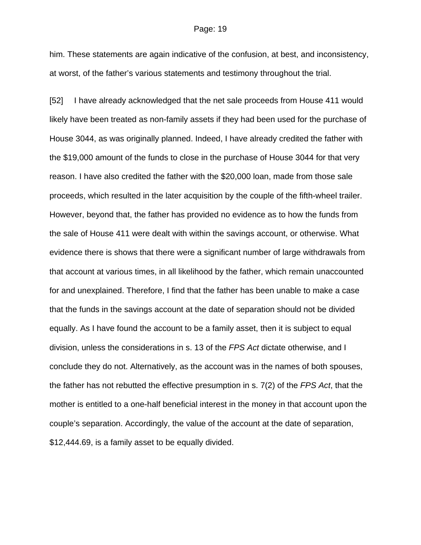him. These statements are again indicative of the confusion, at best, and inconsistency, at worst, of the father's various statements and testimony throughout the trial.

[52] I have already acknowledged that the net sale proceeds from House 411 would likely have been treated as non-family assets if they had been used for the purchase of House 3044, as was originally planned. Indeed, I have already credited the father with the \$19,000 amount of the funds to close in the purchase of House 3044 for that very reason. I have also credited the father with the \$20,000 loan, made from those sale proceeds, which resulted in the later acquisition by the couple of the fifth-wheel trailer. However, beyond that, the father has provided no evidence as to how the funds from the sale of House 411 were dealt with within the savings account, or otherwise. What evidence there is shows that there were a significant number of large withdrawals from that account at various times, in all likelihood by the father, which remain unaccounted for and unexplained. Therefore, I find that the father has been unable to make a case that the funds in the savings account at the date of separation should not be divided equally. As I have found the account to be a family asset, then it is subject to equal division, unless the considerations in s. 13 of the *FPS Act* dictate otherwise, and I conclude they do not. Alternatively, as the account was in the names of both spouses, the father has not rebutted the effective presumption in s. 7(2) of the *FPS Act*, that the mother is entitled to a one-half beneficial interest in the money in that account upon the couple's separation. Accordingly, the value of the account at the date of separation, \$12,444.69, is a family asset to be equally divided.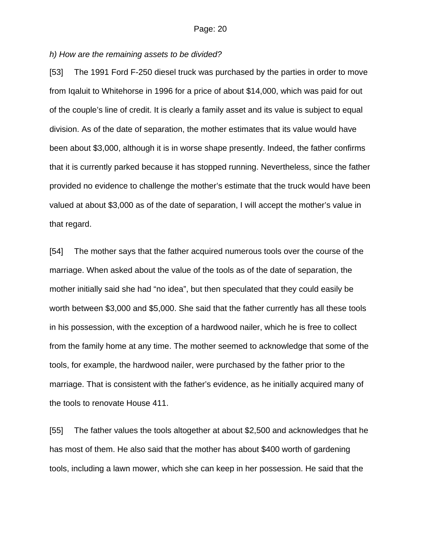## *h) How are the remaining assets to be divided?*

[53] The 1991 Ford F-250 diesel truck was purchased by the parties in order to move from Iqaluit to Whitehorse in 1996 for a price of about \$14,000, which was paid for out of the couple's line of credit. It is clearly a family asset and its value is subject to equal division. As of the date of separation, the mother estimates that its value would have been about \$3,000, although it is in worse shape presently. Indeed, the father confirms that it is currently parked because it has stopped running. Nevertheless, since the father provided no evidence to challenge the mother's estimate that the truck would have been valued at about \$3,000 as of the date of separation, I will accept the mother's value in that regard.

[54] The mother says that the father acquired numerous tools over the course of the marriage. When asked about the value of the tools as of the date of separation, the mother initially said she had "no idea", but then speculated that they could easily be worth between \$3,000 and \$5,000. She said that the father currently has all these tools in his possession, with the exception of a hardwood nailer, which he is free to collect from the family home at any time. The mother seemed to acknowledge that some of the tools, for example, the hardwood nailer, were purchased by the father prior to the marriage. That is consistent with the father's evidence, as he initially acquired many of the tools to renovate House 411.

[55] The father values the tools altogether at about \$2,500 and acknowledges that he has most of them. He also said that the mother has about \$400 worth of gardening tools, including a lawn mower, which she can keep in her possession. He said that the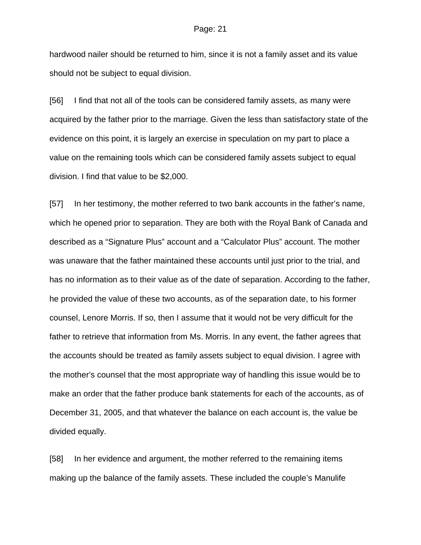hardwood nailer should be returned to him, since it is not a family asset and its value should not be subject to equal division.

[56] I find that not all of the tools can be considered family assets, as many were acquired by the father prior to the marriage. Given the less than satisfactory state of the evidence on this point, it is largely an exercise in speculation on my part to place a value on the remaining tools which can be considered family assets subject to equal division. I find that value to be \$2,000.

[57] In her testimony, the mother referred to two bank accounts in the father's name, which he opened prior to separation. They are both with the Royal Bank of Canada and described as a "Signature Plus" account and a "Calculator Plus" account. The mother was unaware that the father maintained these accounts until just prior to the trial, and has no information as to their value as of the date of separation. According to the father, he provided the value of these two accounts, as of the separation date, to his former counsel, Lenore Morris. If so, then I assume that it would not be very difficult for the father to retrieve that information from Ms. Morris. In any event, the father agrees that the accounts should be treated as family assets subject to equal division. I agree with the mother's counsel that the most appropriate way of handling this issue would be to make an order that the father produce bank statements for each of the accounts, as of December 31, 2005, and that whatever the balance on each account is, the value be divided equally.

[58] In her evidence and argument, the mother referred to the remaining items making up the balance of the family assets. These included the couple's Manulife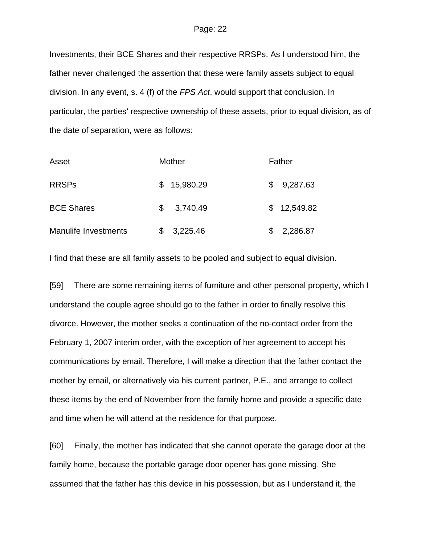Investments, their BCE Shares and their respective RRSPs. As I understood him, the father never challenged the assertion that these were family assets subject to equal division. In any event, s. 4 (f) of the *FPS Act*, would support that conclusion. In particular, the parties' respective ownership of these assets, prior to equal division, as of the date of separation, were as follows:

| Asset                       |   | Mother      |   | Father      |
|-----------------------------|---|-------------|---|-------------|
| <b>RRSPs</b>                |   | \$15,980.29 | S | 9,287.63    |
| <b>BCE Shares</b>           | S | 3,740.49    |   | \$12,549.82 |
| <b>Manulife Investments</b> |   | 3,225.46    |   | 2,286.87    |

I find that these are all family assets to be pooled and subject to equal division.

[59] There are some remaining items of furniture and other personal property, which I understand the couple agree should go to the father in order to finally resolve this divorce. However, the mother seeks a continuation of the no-contact order from the February 1, 2007 interim order, with the exception of her agreement to accept his communications by email. Therefore, I will make a direction that the father contact the mother by email, or alternatively via his current partner, P.E., and arrange to collect these items by the end of November from the family home and provide a specific date and time when he will attend at the residence for that purpose.

[60] Finally, the mother has indicated that she cannot operate the garage door at the family home, because the portable garage door opener has gone missing. She assumed that the father has this device in his possession, but as I understand it, the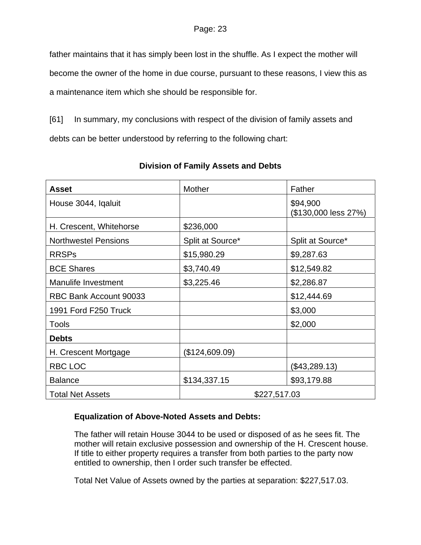father maintains that it has simply been lost in the shuffle. As I expect the mother will become the owner of the home in due course, pursuant to these reasons, I view this as

a maintenance item which she should be responsible for.

[61] In summary, my conclusions with respect of the division of family assets and debts can be better understood by referring to the following chart:

| <b>Asset</b>                | Mother           | Father                           |  |
|-----------------------------|------------------|----------------------------------|--|
| House 3044, Igaluit         |                  | \$94,900<br>(\$130,000 less 27%) |  |
| H. Crescent, Whitehorse     | \$236,000        |                                  |  |
| <b>Northwestel Pensions</b> | Split at Source* | Split at Source*                 |  |
| <b>RRSPs</b>                | \$15,980.29      | \$9,287.63                       |  |
| <b>BCE Shares</b>           | \$3,740.49       | \$12,549.82                      |  |
| Manulife Investment         | \$3,225.46       | \$2,286.87                       |  |
| RBC Bank Account 90033      |                  | \$12,444.69                      |  |
| 1991 Ford F250 Truck        |                  | \$3,000                          |  |
| <b>Tools</b>                |                  | \$2,000                          |  |
| <b>Debts</b>                |                  |                                  |  |
| H. Crescent Mortgage        | (\$124,609.09)   |                                  |  |
| RBC LOC                     |                  | (\$43,289.13)                    |  |
| <b>Balance</b>              | \$134,337.15     | \$93,179.88                      |  |
| <b>Total Net Assets</b>     | \$227,517.03     |                                  |  |

# **Division of Family Assets and Debts**

# **Equalization of Above-Noted Assets and Debts:**

The father will retain House 3044 to be used or disposed of as he sees fit. The mother will retain exclusive possession and ownership of the H. Crescent house. If title to either property requires a transfer from both parties to the party now entitled to ownership, then I order such transfer be effected.

Total Net Value of Assets owned by the parties at separation: \$227,517.03.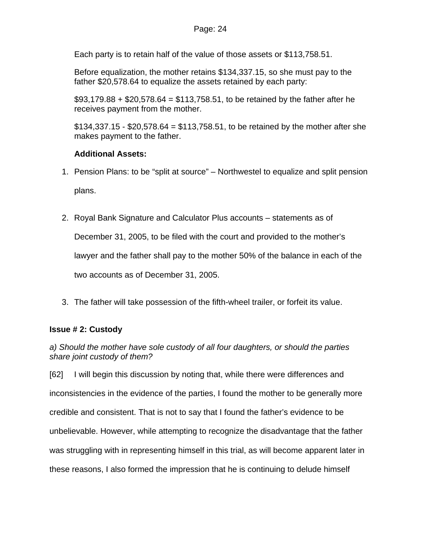Each party is to retain half of the value of those assets or \$113,758.51.

Before equalization, the mother retains \$134,337.15, so she must pay to the father \$20,578.64 to equalize the assets retained by each party:

 $$93,179.88 + $20,578.64 = $113,758.51$ , to be retained by the father after he receives payment from the mother.

\$134,337.15 - \$20,578.64 = \$113,758.51, to be retained by the mother after she makes payment to the father.

# **Additional Assets:**

- 1. Pension Plans: to be "split at source" Northwestel to equalize and split pension plans.
- 2. Royal Bank Signature and Calculator Plus accounts statements as of

December 31, 2005, to be filed with the court and provided to the mother's

lawyer and the father shall pay to the mother 50% of the balance in each of the

two accounts as of December 31, 2005.

3. The father will take possession of the fifth-wheel trailer, or forfeit its value.

# **Issue # 2: Custody**

*a) Should the mother have sole custody of all four daughters, or should the parties share joint custody of them?* 

[62] I will begin this discussion by noting that, while there were differences and inconsistencies in the evidence of the parties, I found the mother to be generally more credible and consistent. That is not to say that I found the father's evidence to be unbelievable. However, while attempting to recognize the disadvantage that the father was struggling with in representing himself in this trial, as will become apparent later in these reasons, I also formed the impression that he is continuing to delude himself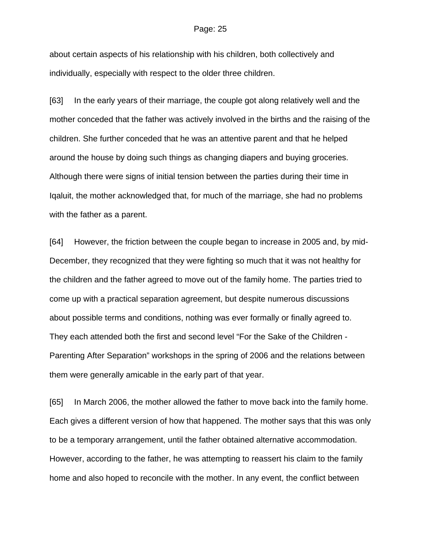about certain aspects of his relationship with his children, both collectively and individually, especially with respect to the older three children.

[63] In the early years of their marriage, the couple got along relatively well and the mother conceded that the father was actively involved in the births and the raising of the children. She further conceded that he was an attentive parent and that he helped around the house by doing such things as changing diapers and buying groceries. Although there were signs of initial tension between the parties during their time in Iqaluit, the mother acknowledged that, for much of the marriage, she had no problems with the father as a parent.

[64] However, the friction between the couple began to increase in 2005 and, by mid-December, they recognized that they were fighting so much that it was not healthy for the children and the father agreed to move out of the family home. The parties tried to come up with a practical separation agreement, but despite numerous discussions about possible terms and conditions, nothing was ever formally or finally agreed to. They each attended both the first and second level "For the Sake of the Children - Parenting After Separation" workshops in the spring of 2006 and the relations between them were generally amicable in the early part of that year.

[65] In March 2006, the mother allowed the father to move back into the family home. Each gives a different version of how that happened. The mother says that this was only to be a temporary arrangement, until the father obtained alternative accommodation. However, according to the father, he was attempting to reassert his claim to the family home and also hoped to reconcile with the mother. In any event, the conflict between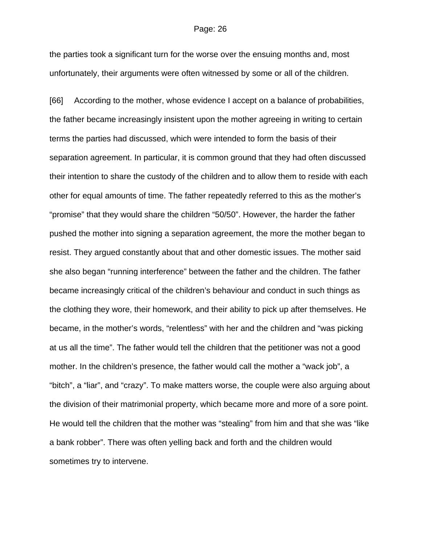the parties took a significant turn for the worse over the ensuing months and, most unfortunately, their arguments were often witnessed by some or all of the children.

[66] According to the mother, whose evidence I accept on a balance of probabilities, the father became increasingly insistent upon the mother agreeing in writing to certain terms the parties had discussed, which were intended to form the basis of their separation agreement. In particular, it is common ground that they had often discussed their intention to share the custody of the children and to allow them to reside with each other for equal amounts of time. The father repeatedly referred to this as the mother's "promise" that they would share the children "50/50". However, the harder the father pushed the mother into signing a separation agreement, the more the mother began to resist. They argued constantly about that and other domestic issues. The mother said she also began "running interference" between the father and the children. The father became increasingly critical of the children's behaviour and conduct in such things as the clothing they wore, their homework, and their ability to pick up after themselves. He became, in the mother's words, "relentless" with her and the children and "was picking at us all the time". The father would tell the children that the petitioner was not a good mother. In the children's presence, the father would call the mother a "wack job", a "bitch", a "liar", and "crazy". To make matters worse, the couple were also arguing about the division of their matrimonial property, which became more and more of a sore point. He would tell the children that the mother was "stealing" from him and that she was "like a bank robber". There was often yelling back and forth and the children would sometimes try to intervene.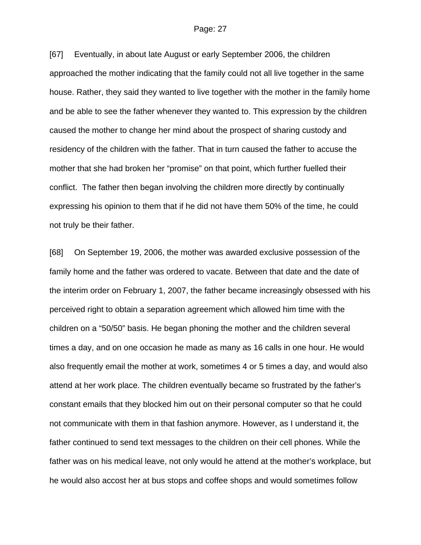[67] Eventually, in about late August or early September 2006, the children approached the mother indicating that the family could not all live together in the same house. Rather, they said they wanted to live together with the mother in the family home and be able to see the father whenever they wanted to. This expression by the children caused the mother to change her mind about the prospect of sharing custody and residency of the children with the father. That in turn caused the father to accuse the mother that she had broken her "promise" on that point, which further fuelled their conflict. The father then began involving the children more directly by continually expressing his opinion to them that if he did not have them 50% of the time, he could not truly be their father.

[68] On September 19, 2006, the mother was awarded exclusive possession of the family home and the father was ordered to vacate. Between that date and the date of the interim order on February 1, 2007, the father became increasingly obsessed with his perceived right to obtain a separation agreement which allowed him time with the children on a "50/50" basis. He began phoning the mother and the children several times a day, and on one occasion he made as many as 16 calls in one hour. He would also frequently email the mother at work, sometimes 4 or 5 times a day, and would also attend at her work place. The children eventually became so frustrated by the father's constant emails that they blocked him out on their personal computer so that he could not communicate with them in that fashion anymore. However, as I understand it, the father continued to send text messages to the children on their cell phones. While the father was on his medical leave, not only would he attend at the mother's workplace, but he would also accost her at bus stops and coffee shops and would sometimes follow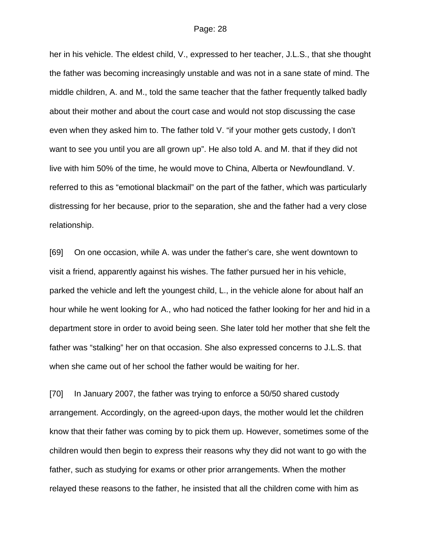her in his vehicle. The eldest child, V., expressed to her teacher, J.L.S., that she thought the father was becoming increasingly unstable and was not in a sane state of mind. The middle children, A. and M., told the same teacher that the father frequently talked badly about their mother and about the court case and would not stop discussing the case even when they asked him to. The father told V. "if your mother gets custody, I don't want to see you until you are all grown up". He also told A. and M. that if they did not live with him 50% of the time, he would move to China, Alberta or Newfoundland. V. referred to this as "emotional blackmail" on the part of the father, which was particularly distressing for her because, prior to the separation, she and the father had a very close relationship.

[69] On one occasion, while A. was under the father's care, she went downtown to visit a friend, apparently against his wishes. The father pursued her in his vehicle, parked the vehicle and left the youngest child, L., in the vehicle alone for about half an hour while he went looking for A., who had noticed the father looking for her and hid in a department store in order to avoid being seen. She later told her mother that she felt the father was "stalking" her on that occasion. She also expressed concerns to J.L.S. that when she came out of her school the father would be waiting for her.

[70] In January 2007, the father was trying to enforce a 50/50 shared custody arrangement. Accordingly, on the agreed-upon days, the mother would let the children know that their father was coming by to pick them up. However, sometimes some of the children would then begin to express their reasons why they did not want to go with the father, such as studying for exams or other prior arrangements. When the mother relayed these reasons to the father, he insisted that all the children come with him as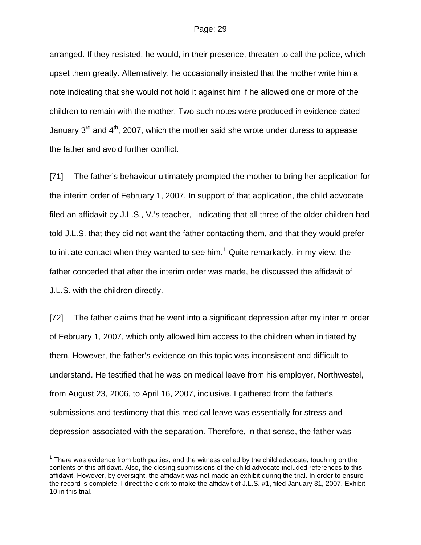arranged. If they resisted, he would, in their presence, threaten to call the police, which upset them greatly. Alternatively, he occasionally insisted that the mother write him a note indicating that she would not hold it against him if he allowed one or more of the children to remain with the mother. Two such notes were produced in evidence dated January  $3^{rd}$  and  $4^{th}$ , 2007, which the mother said she wrote under duress to appease the father and avoid further conflict.

[71] The father's behaviour ultimately prompted the mother to bring her application for the interim order of February 1, 2007. In support of that application, the child advocate filed an affidavit by J.L.S., V.'s teacher, indicating that all three of the older children had told J.L.S. that they did not want the father contacting them, and that they would prefer to initiate contact when they wanted to see him.<sup>[1](#page-28-0)</sup> Quite remarkably, in my view, the father conceded that after the interim order was made, he discussed the affidavit of J.L.S. with the children directly.

[72] The father claims that he went into a significant depression after my interim order of February 1, 2007, which only allowed him access to the children when initiated by them. However, the father's evidence on this topic was inconsistent and difficult to understand. He testified that he was on medical leave from his employer, Northwestel, from August 23, 2006, to April 16, 2007, inclusive. I gathered from the father's submissions and testimony that this medical leave was essentially for stress and depression associated with the separation. Therefore, in that sense, the father was

 $\overline{a}$ 

<span id="page-28-0"></span> $1$  There was evidence from both parties, and the witness called by the child advocate, touching on the contents of this affidavit. Also, the closing submissions of the child advocate included references to this affidavit. However, by oversight, the affidavit was not made an exhibit during the trial. In order to ensure the record is complete, I direct the clerk to make the affidavit of J.L.S. #1, filed January 31, 2007, Exhibit 10 in this trial.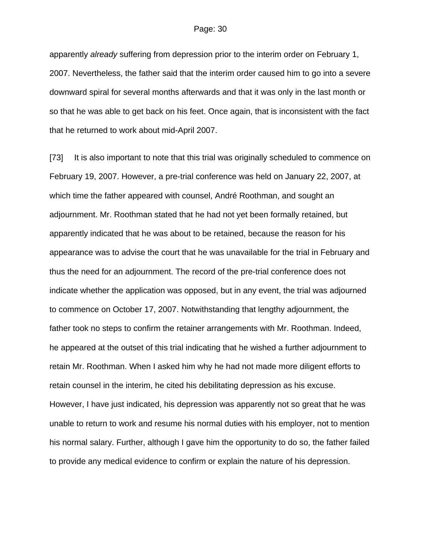apparently *already* suffering from depression prior to the interim order on February 1, 2007. Nevertheless, the father said that the interim order caused him to go into a severe downward spiral for several months afterwards and that it was only in the last month or so that he was able to get back on his feet. Once again, that is inconsistent with the fact that he returned to work about mid-April 2007.

[73] It is also important to note that this trial was originally scheduled to commence on February 19, 2007. However, a pre-trial conference was held on January 22, 2007, at which time the father appeared with counsel, André Roothman, and sought an adjournment. Mr. Roothman stated that he had not yet been formally retained, but apparently indicated that he was about to be retained, because the reason for his appearance was to advise the court that he was unavailable for the trial in February and thus the need for an adjournment. The record of the pre-trial conference does not indicate whether the application was opposed, but in any event, the trial was adjourned to commence on October 17, 2007. Notwithstanding that lengthy adjournment, the father took no steps to confirm the retainer arrangements with Mr. Roothman. Indeed, he appeared at the outset of this trial indicating that he wished a further adjournment to retain Mr. Roothman. When I asked him why he had not made more diligent efforts to retain counsel in the interim, he cited his debilitating depression as his excuse. However, I have just indicated, his depression was apparently not so great that he was unable to return to work and resume his normal duties with his employer, not to mention his normal salary. Further, although I gave him the opportunity to do so, the father failed to provide any medical evidence to confirm or explain the nature of his depression.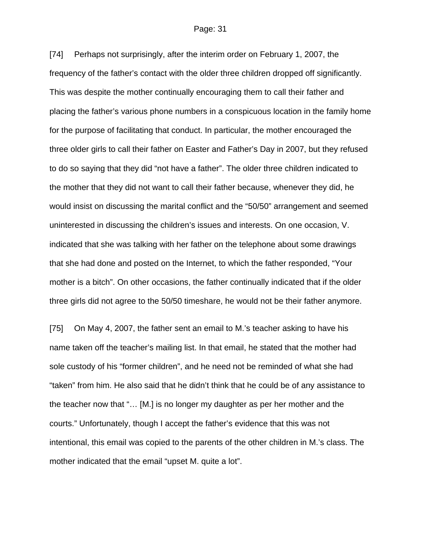[74] Perhaps not surprisingly, after the interim order on February 1, 2007, the frequency of the father's contact with the older three children dropped off significantly. This was despite the mother continually encouraging them to call their father and placing the father's various phone numbers in a conspicuous location in the family home for the purpose of facilitating that conduct. In particular, the mother encouraged the three older girls to call their father on Easter and Father's Day in 2007, but they refused to do so saying that they did "not have a father". The older three children indicated to the mother that they did not want to call their father because, whenever they did, he would insist on discussing the marital conflict and the "50/50" arrangement and seemed uninterested in discussing the children's issues and interests. On one occasion, V. indicated that she was talking with her father on the telephone about some drawings that she had done and posted on the Internet, to which the father responded, "Your mother is a bitch". On other occasions, the father continually indicated that if the older three girls did not agree to the 50/50 timeshare, he would not be their father anymore.

[75] On May 4, 2007, the father sent an email to M.'s teacher asking to have his name taken off the teacher's mailing list. In that email, he stated that the mother had sole custody of his "former children", and he need not be reminded of what she had "taken" from him. He also said that he didn't think that he could be of any assistance to the teacher now that "… [M.] is no longer my daughter as per her mother and the courts." Unfortunately, though I accept the father's evidence that this was not intentional, this email was copied to the parents of the other children in M.'s class. The mother indicated that the email "upset M. quite a lot".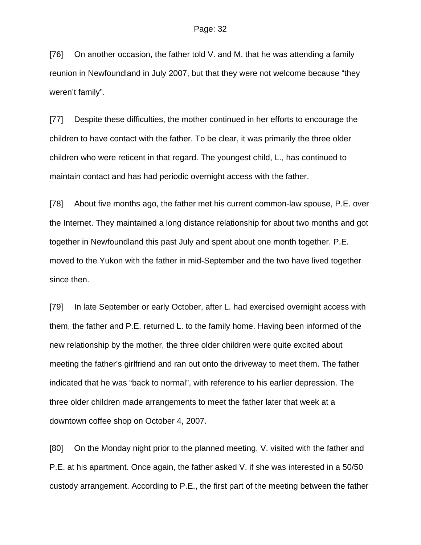[76] On another occasion, the father told V. and M. that he was attending a family reunion in Newfoundland in July 2007, but that they were not welcome because "they weren't family".

[77] Despite these difficulties, the mother continued in her efforts to encourage the children to have contact with the father. To be clear, it was primarily the three older children who were reticent in that regard. The youngest child, L., has continued to maintain contact and has had periodic overnight access with the father.

[78] About five months ago, the father met his current common-law spouse, P.E. over the Internet. They maintained a long distance relationship for about two months and got together in Newfoundland this past July and spent about one month together. P.E. moved to the Yukon with the father in mid-September and the two have lived together since then.

[79] In late September or early October, after L. had exercised overnight access with them, the father and P.E. returned L. to the family home. Having been informed of the new relationship by the mother, the three older children were quite excited about meeting the father's girlfriend and ran out onto the driveway to meet them. The father indicated that he was "back to normal", with reference to his earlier depression. The three older children made arrangements to meet the father later that week at a downtown coffee shop on October 4, 2007.

[80] On the Monday night prior to the planned meeting, V. visited with the father and P.E. at his apartment. Once again, the father asked V. if she was interested in a 50/50 custody arrangement. According to P.E., the first part of the meeting between the father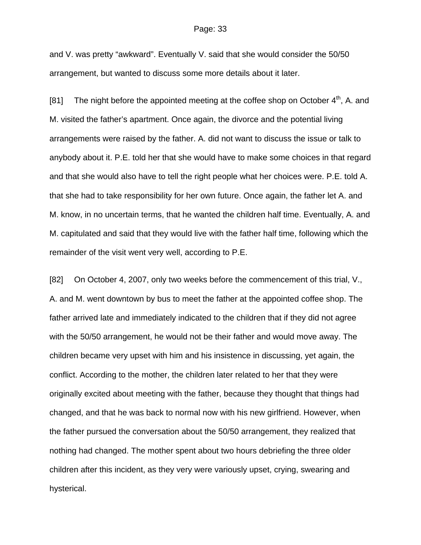and V. was pretty "awkward". Eventually V. said that she would consider the 50/50 arrangement, but wanted to discuss some more details about it later.

[81] The night before the appointed meeting at the coffee shop on October  $4<sup>th</sup>$ , A. and M. visited the father's apartment. Once again, the divorce and the potential living arrangements were raised by the father. A. did not want to discuss the issue or talk to anybody about it. P.E. told her that she would have to make some choices in that regard and that she would also have to tell the right people what her choices were. P.E. told A. that she had to take responsibility for her own future. Once again, the father let A. and M. know, in no uncertain terms, that he wanted the children half time. Eventually, A. and M. capitulated and said that they would live with the father half time, following which the remainder of the visit went very well, according to P.E.

[82] On October 4, 2007, only two weeks before the commencement of this trial, V., A. and M. went downtown by bus to meet the father at the appointed coffee shop. The father arrived late and immediately indicated to the children that if they did not agree with the 50/50 arrangement, he would not be their father and would move away. The children became very upset with him and his insistence in discussing, yet again, the conflict. According to the mother, the children later related to her that they were originally excited about meeting with the father, because they thought that things had changed, and that he was back to normal now with his new girlfriend. However, when the father pursued the conversation about the 50/50 arrangement, they realized that nothing had changed. The mother spent about two hours debriefing the three older children after this incident, as they very were variously upset, crying, swearing and hysterical.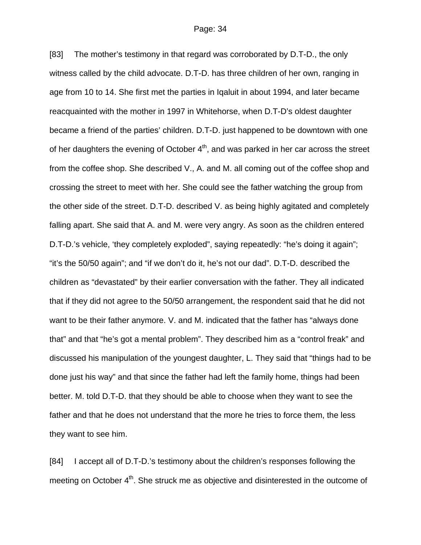[83] The mother's testimony in that regard was corroborated by D.T-D., the only witness called by the child advocate. D.T-D. has three children of her own, ranging in age from 10 to 14. She first met the parties in Iqaluit in about 1994, and later became reacquainted with the mother in 1997 in Whitehorse, when D.T-D's oldest daughter became a friend of the parties' children. D.T-D. just happened to be downtown with one of her daughters the evening of October  $4<sup>th</sup>$ , and was parked in her car across the street from the coffee shop. She described V., A. and M. all coming out of the coffee shop and crossing the street to meet with her. She could see the father watching the group from the other side of the street. D.T-D. described V. as being highly agitated and completely falling apart. She said that A. and M. were very angry. As soon as the children entered D.T-D.'s vehicle, 'they completely exploded", saying repeatedly: "he's doing it again"; "it's the 50/50 again"; and "if we don't do it, he's not our dad". D.T-D. described the children as "devastated" by their earlier conversation with the father. They all indicated that if they did not agree to the 50/50 arrangement, the respondent said that he did not want to be their father anymore. V. and M. indicated that the father has "always done that" and that "he's got a mental problem". They described him as a "control freak" and discussed his manipulation of the youngest daughter, L. They said that "things had to be done just his way" and that since the father had left the family home, things had been better. M. told D.T-D. that they should be able to choose when they want to see the father and that he does not understand that the more he tries to force them, the less they want to see him.

[84] I accept all of D.T-D.'s testimony about the children's responses following the meeting on October 4<sup>th</sup>. She struck me as objective and disinterested in the outcome of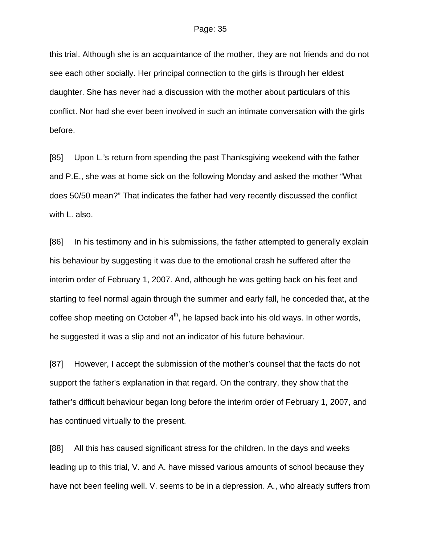this trial. Although she is an acquaintance of the mother, they are not friends and do not see each other socially. Her principal connection to the girls is through her eldest daughter. She has never had a discussion with the mother about particulars of this conflict. Nor had she ever been involved in such an intimate conversation with the girls before.

[85] Upon L.'s return from spending the past Thanksgiving weekend with the father and P.E., she was at home sick on the following Monday and asked the mother "What does 50/50 mean?" That indicates the father had very recently discussed the conflict with L. also.

[86] In his testimony and in his submissions, the father attempted to generally explain his behaviour by suggesting it was due to the emotional crash he suffered after the interim order of February 1, 2007. And, although he was getting back on his feet and starting to feel normal again through the summer and early fall, he conceded that, at the coffee shop meeting on October  $4<sup>th</sup>$ , he lapsed back into his old ways. In other words, he suggested it was a slip and not an indicator of his future behaviour.

[87] However, I accept the submission of the mother's counsel that the facts do not support the father's explanation in that regard. On the contrary, they show that the father's difficult behaviour began long before the interim order of February 1, 2007, and has continued virtually to the present.

[88] All this has caused significant stress for the children. In the days and weeks leading up to this trial, V. and A. have missed various amounts of school because they have not been feeling well. V. seems to be in a depression. A., who already suffers from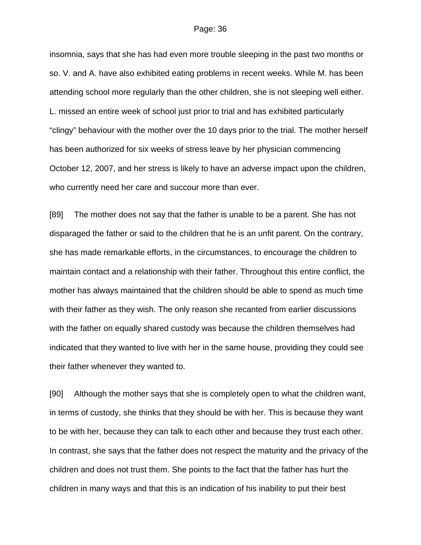insomnia, says that she has had even more trouble sleeping in the past two months or so. V. and A. have also exhibited eating problems in recent weeks. While M. has been attending school more regularly than the other children, she is not sleeping well either. L. missed an entire week of school just prior to trial and has exhibited particularly "clingy" behaviour with the mother over the 10 days prior to the trial. The mother herself has been authorized for six weeks of stress leave by her physician commencing October 12, 2007, and her stress is likely to have an adverse impact upon the children, who currently need her care and succour more than ever.

[89] The mother does not say that the father is unable to be a parent. She has not disparaged the father or said to the children that he is an unfit parent. On the contrary, she has made remarkable efforts, in the circumstances, to encourage the children to maintain contact and a relationship with their father. Throughout this entire conflict, the mother has always maintained that the children should be able to spend as much time with their father as they wish. The only reason she recanted from earlier discussions with the father on equally shared custody was because the children themselves had indicated that they wanted to live with her in the same house, providing they could see their father whenever they wanted to.

[90] Although the mother says that she is completely open to what the children want, in terms of custody, she thinks that they should be with her. This is because they want to be with her, because they can talk to each other and because they trust each other. In contrast, she says that the father does not respect the maturity and the privacy of the children and does not trust them. She points to the fact that the father has hurt the children in many ways and that this is an indication of his inability to put their best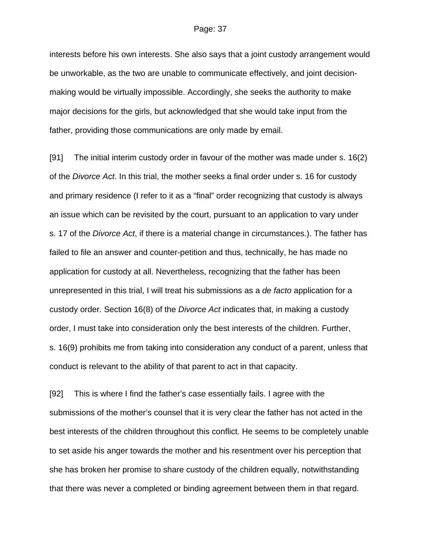interests before his own interests. She also says that a joint custody arrangement would be unworkable, as the two are unable to communicate effectively, and joint decisionmaking would be virtually impossible. Accordingly, she seeks the authority to make major decisions for the girls, but acknowledged that she would take input from the father, providing those communications are only made by email.

[91] The initial interim custody order in favour of the mother was made under s. 16(2) of the *Divorce Act*. In this trial, the mother seeks a final order under s. 16 for custody and primary residence (I refer to it as a "final" order recognizing that custody is always an issue which can be revisited by the court, pursuant to an application to vary under s. 17 of the *Divorce Act*, if there is a material change in circumstances.). The father has failed to file an answer and counter-petition and thus, technically, he has made no application for custody at all. Nevertheless, recognizing that the father has been unrepresented in this trial, I will treat his submissions as a *de facto* application for a custody order. Section 16(8) of the *Divorce Act* indicates that, in making a custody order, I must take into consideration only the best interests of the children. Further, s. 16(9) prohibits me from taking into consideration any conduct of a parent, unless that conduct is relevant to the ability of that parent to act in that capacity.

[92] This is where I find the father's case essentially fails. I agree with the submissions of the mother's counsel that it is very clear the father has not acted in the best interests of the children throughout this conflict. He seems to be completely unable to set aside his anger towards the mother and his resentment over his perception that she has broken her promise to share custody of the children equally, notwithstanding that there was never a completed or binding agreement between them in that regard.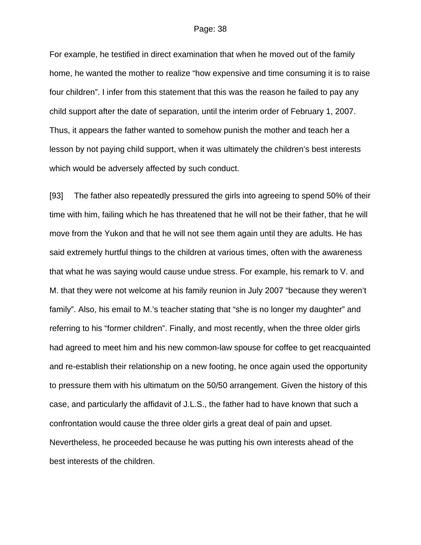For example, he testified in direct examination that when he moved out of the family home, he wanted the mother to realize "how expensive and time consuming it is to raise four children". I infer from this statement that this was the reason he failed to pay any child support after the date of separation, until the interim order of February 1, 2007. Thus, it appears the father wanted to somehow punish the mother and teach her a lesson by not paying child support, when it was ultimately the children's best interests which would be adversely affected by such conduct.

[93] The father also repeatedly pressured the girls into agreeing to spend 50% of their time with him, failing which he has threatened that he will not be their father, that he will move from the Yukon and that he will not see them again until they are adults. He has said extremely hurtful things to the children at various times, often with the awareness that what he was saying would cause undue stress. For example, his remark to V. and M. that they were not welcome at his family reunion in July 2007 "because they weren't family". Also, his email to M.'s teacher stating that "she is no longer my daughter" and referring to his "former children". Finally, and most recently, when the three older girls had agreed to meet him and his new common-law spouse for coffee to get reacquainted and re-establish their relationship on a new footing, he once again used the opportunity to pressure them with his ultimatum on the 50/50 arrangement. Given the history of this case, and particularly the affidavit of J.L.S., the father had to have known that such a confrontation would cause the three older girls a great deal of pain and upset. Nevertheless, he proceeded because he was putting his own interests ahead of the best interests of the children.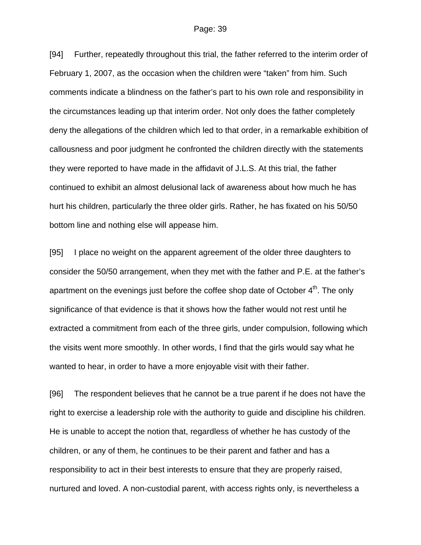[94] Further, repeatedly throughout this trial, the father referred to the interim order of February 1, 2007, as the occasion when the children were "taken" from him. Such comments indicate a blindness on the father's part to his own role and responsibility in the circumstances leading up that interim order. Not only does the father completely deny the allegations of the children which led to that order, in a remarkable exhibition of callousness and poor judgment he confronted the children directly with the statements they were reported to have made in the affidavit of J.L.S. At this trial, the father continued to exhibit an almost delusional lack of awareness about how much he has hurt his children, particularly the three older girls. Rather, he has fixated on his 50/50 bottom line and nothing else will appease him.

[95] I place no weight on the apparent agreement of the older three daughters to consider the 50/50 arrangement, when they met with the father and P.E. at the father's apartment on the evenings just before the coffee shop date of October 4<sup>th</sup>. The only significance of that evidence is that it shows how the father would not rest until he extracted a commitment from each of the three girls, under compulsion, following which the visits went more smoothly. In other words, I find that the girls would say what he wanted to hear, in order to have a more enjoyable visit with their father.

[96] The respondent believes that he cannot be a true parent if he does not have the right to exercise a leadership role with the authority to guide and discipline his children. He is unable to accept the notion that, regardless of whether he has custody of the children, or any of them, he continues to be their parent and father and has a responsibility to act in their best interests to ensure that they are properly raised, nurtured and loved. A non-custodial parent, with access rights only, is nevertheless a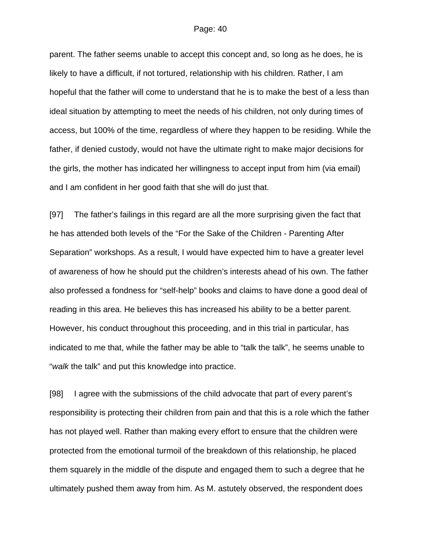parent. The father seems unable to accept this concept and, so long as he does, he is likely to have a difficult, if not tortured, relationship with his children. Rather, I am hopeful that the father will come to understand that he is to make the best of a less than ideal situation by attempting to meet the needs of his children, not only during times of access, but 100% of the time, regardless of where they happen to be residing. While the father, if denied custody, would not have the ultimate right to make major decisions for the girls, the mother has indicated her willingness to accept input from him (via email) and I am confident in her good faith that she will do just that.

[97] The father's failings in this regard are all the more surprising given the fact that he has attended both levels of the "For the Sake of the Children - Parenting After Separation" workshops. As a result, I would have expected him to have a greater level of awareness of how he should put the children's interests ahead of his own. The father also professed a fondness for "self-help" books and claims to have done a good deal of reading in this area. He believes this has increased his ability to be a better parent. However, his conduct throughout this proceeding, and in this trial in particular, has indicated to me that, while the father may be able to "talk the talk", he seems unable to "*walk* the talk" and put this knowledge into practice.

[98] I agree with the submissions of the child advocate that part of every parent's responsibility is protecting their children from pain and that this is a role which the father has not played well. Rather than making every effort to ensure that the children were protected from the emotional turmoil of the breakdown of this relationship, he placed them squarely in the middle of the dispute and engaged them to such a degree that he ultimately pushed them away from him. As M. astutely observed, the respondent does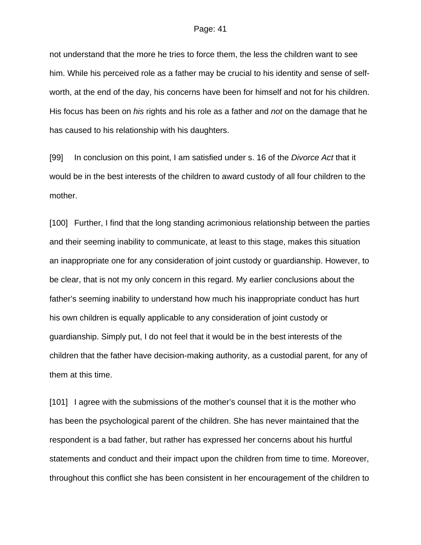not understand that the more he tries to force them, the less the children want to see him. While his perceived role as a father may be crucial to his identity and sense of selfworth, at the end of the day, his concerns have been for himself and not for his children. His focus has been on *his* rights and his role as a father and *not* on the damage that he has caused to his relationship with his daughters.

[99] In conclusion on this point, I am satisfied under s. 16 of the *Divorce Act* that it would be in the best interests of the children to award custody of all four children to the mother.

[100] Further, I find that the long standing acrimonious relationship between the parties and their seeming inability to communicate, at least to this stage, makes this situation an inappropriate one for any consideration of joint custody or guardianship. However, to be clear, that is not my only concern in this regard. My earlier conclusions about the father's seeming inability to understand how much his inappropriate conduct has hurt his own children is equally applicable to any consideration of joint custody or guardianship. Simply put, I do not feel that it would be in the best interests of the children that the father have decision-making authority, as a custodial parent, for any of them at this time.

[101] I agree with the submissions of the mother's counsel that it is the mother who has been the psychological parent of the children. She has never maintained that the respondent is a bad father, but rather has expressed her concerns about his hurtful statements and conduct and their impact upon the children from time to time. Moreover, throughout this conflict she has been consistent in her encouragement of the children to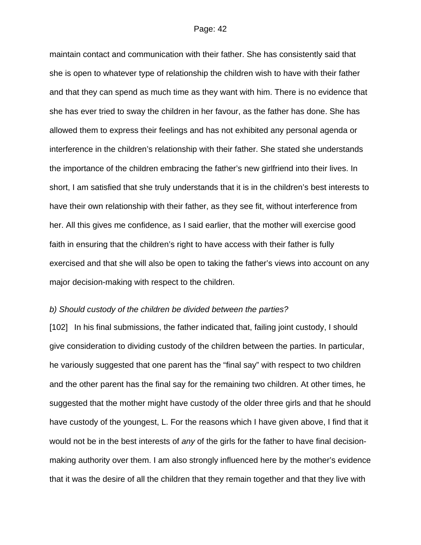maintain contact and communication with their father. She has consistently said that she is open to whatever type of relationship the children wish to have with their father and that they can spend as much time as they want with him. There is no evidence that she has ever tried to sway the children in her favour, as the father has done. She has allowed them to express their feelings and has not exhibited any personal agenda or interference in the children's relationship with their father. She stated she understands the importance of the children embracing the father's new girlfriend into their lives. In short, I am satisfied that she truly understands that it is in the children's best interests to have their own relationship with their father, as they see fit, without interference from her. All this gives me confidence, as I said earlier, that the mother will exercise good faith in ensuring that the children's right to have access with their father is fully exercised and that she will also be open to taking the father's views into account on any major decision-making with respect to the children.

## *b) Should custody of the children be divided between the parties?*

[102] In his final submissions, the father indicated that, failing joint custody, I should give consideration to dividing custody of the children between the parties. In particular, he variously suggested that one parent has the "final say" with respect to two children and the other parent has the final say for the remaining two children. At other times, he suggested that the mother might have custody of the older three girls and that he should have custody of the youngest, L. For the reasons which I have given above, I find that it would not be in the best interests of *any* of the girls for the father to have final decisionmaking authority over them. I am also strongly influenced here by the mother's evidence that it was the desire of all the children that they remain together and that they live with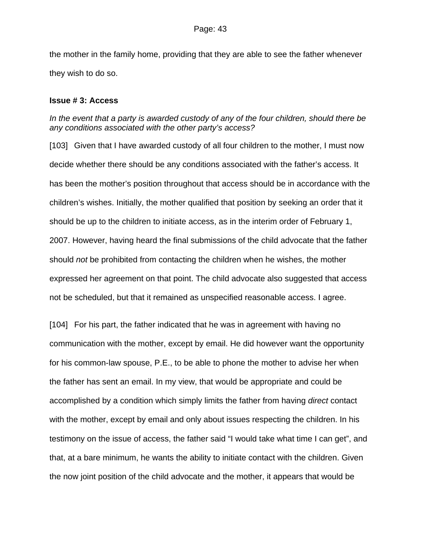the mother in the family home, providing that they are able to see the father whenever they wish to do so.

## **Issue # 3: Access**

## *In the event that a party is awarded custody of any of the four children, should there be any conditions associated with the other party's access?*

[103] Given that I have awarded custody of all four children to the mother, I must now decide whether there should be any conditions associated with the father's access. It has been the mother's position throughout that access should be in accordance with the children's wishes. Initially, the mother qualified that position by seeking an order that it should be up to the children to initiate access, as in the interim order of February 1, 2007. However, having heard the final submissions of the child advocate that the father should *not* be prohibited from contacting the children when he wishes, the mother expressed her agreement on that point. The child advocate also suggested that access not be scheduled, but that it remained as unspecified reasonable access. I agree.

[104] For his part, the father indicated that he was in agreement with having no communication with the mother, except by email. He did however want the opportunity for his common-law spouse, P.E., to be able to phone the mother to advise her when the father has sent an email. In my view, that would be appropriate and could be accomplished by a condition which simply limits the father from having *direct* contact with the mother, except by email and only about issues respecting the children. In his testimony on the issue of access, the father said "I would take what time I can get", and that, at a bare minimum, he wants the ability to initiate contact with the children. Given the now joint position of the child advocate and the mother, it appears that would be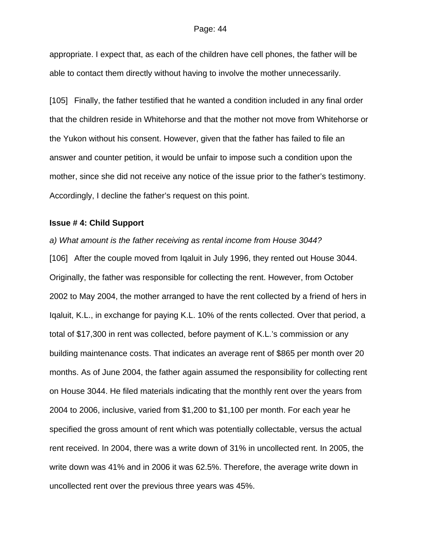appropriate. I expect that, as each of the children have cell phones, the father will be able to contact them directly without having to involve the mother unnecessarily.

[105] Finally, the father testified that he wanted a condition included in any final order that the children reside in Whitehorse and that the mother not move from Whitehorse or the Yukon without his consent. However, given that the father has failed to file an answer and counter petition, it would be unfair to impose such a condition upon the mother, since she did not receive any notice of the issue prior to the father's testimony. Accordingly, I decline the father's request on this point.

## **Issue # 4: Child Support**

*a) What amount is the father receiving as rental income from House 3044?*  [106] After the couple moved from Iqaluit in July 1996, they rented out House 3044. Originally, the father was responsible for collecting the rent. However, from October 2002 to May 2004, the mother arranged to have the rent collected by a friend of hers in Iqaluit, K.L., in exchange for paying K.L. 10% of the rents collected. Over that period, a total of \$17,300 in rent was collected, before payment of K.L.'s commission or any building maintenance costs. That indicates an average rent of \$865 per month over 20 months. As of June 2004, the father again assumed the responsibility for collecting rent on House 3044. He filed materials indicating that the monthly rent over the years from 2004 to 2006, inclusive, varied from \$1,200 to \$1,100 per month. For each year he specified the gross amount of rent which was potentially collectable, versus the actual rent received. In 2004, there was a write down of 31% in uncollected rent. In 2005, the write down was 41% and in 2006 it was 62.5%. Therefore, the average write down in uncollected rent over the previous three years was 45%.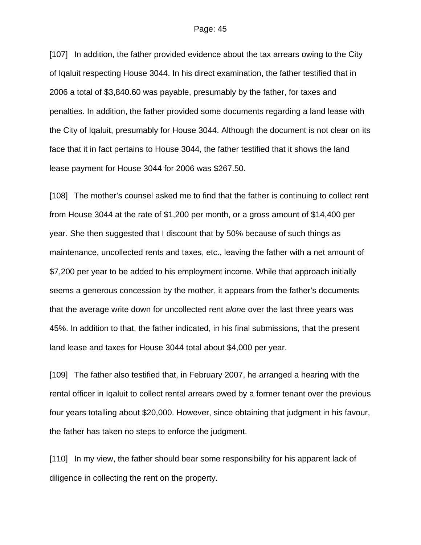[107] In addition, the father provided evidence about the tax arrears owing to the City of Iqaluit respecting House 3044. In his direct examination, the father testified that in 2006 a total of \$3,840.60 was payable, presumably by the father, for taxes and penalties. In addition, the father provided some documents regarding a land lease with the City of Iqaluit, presumably for House 3044. Although the document is not clear on its face that it in fact pertains to House 3044, the father testified that it shows the land lease payment for House 3044 for 2006 was \$267.50.

[108] The mother's counsel asked me to find that the father is continuing to collect rent from House 3044 at the rate of \$1,200 per month, or a gross amount of \$14,400 per year. She then suggested that I discount that by 50% because of such things as maintenance, uncollected rents and taxes, etc., leaving the father with a net amount of \$7,200 per year to be added to his employment income. While that approach initially seems a generous concession by the mother, it appears from the father's documents that the average write down for uncollected rent *alone* over the last three years was 45%. In addition to that, the father indicated, in his final submissions, that the present land lease and taxes for House 3044 total about \$4,000 per year.

[109] The father also testified that, in February 2007, he arranged a hearing with the rental officer in Iqaluit to collect rental arrears owed by a former tenant over the previous four years totalling about \$20,000. However, since obtaining that judgment in his favour, the father has taken no steps to enforce the judgment.

[110] In my view, the father should bear some responsibility for his apparent lack of diligence in collecting the rent on the property.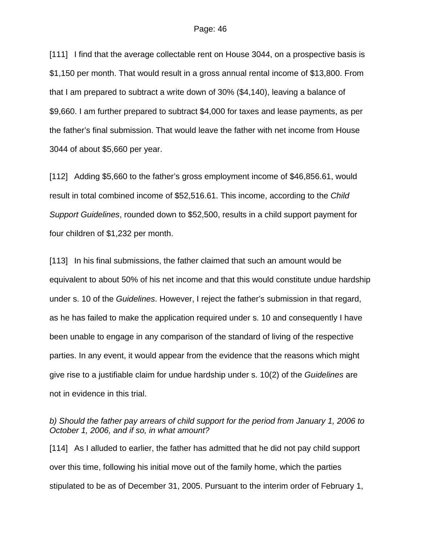[111] I find that the average collectable rent on House 3044, on a prospective basis is \$1,150 per month. That would result in a gross annual rental income of \$13,800. From that I am prepared to subtract a write down of 30% (\$4,140), leaving a balance of \$9,660. I am further prepared to subtract \$4,000 for taxes and lease payments, as per the father's final submission. That would leave the father with net income from House 3044 of about \$5,660 per year.

[112] Adding \$5,660 to the father's gross employment income of \$46,856.61, would result in total combined income of \$52,516.61. This income, according to the *Child Support Guidelines*, rounded down to \$52,500, results in a child support payment for four children of \$1,232 per month.

[113] In his final submissions, the father claimed that such an amount would be equivalent to about 50% of his net income and that this would constitute undue hardship under s. 10 of the *Guidelines*. However, I reject the father's submission in that regard, as he has failed to make the application required under s. 10 and consequently I have been unable to engage in any comparison of the standard of living of the respective parties. In any event, it would appear from the evidence that the reasons which might give rise to a justifiable claim for undue hardship under s. 10(2) of the *Guidelines* are not in evidence in this trial.

*b) Should the father pay arrears of child support for the period from January 1, 2006 to October 1, 2006, and if so, in what amount?* 

[114] As I alluded to earlier, the father has admitted that he did not pay child support over this time, following his initial move out of the family home, which the parties stipulated to be as of December 31, 2005. Pursuant to the interim order of February 1,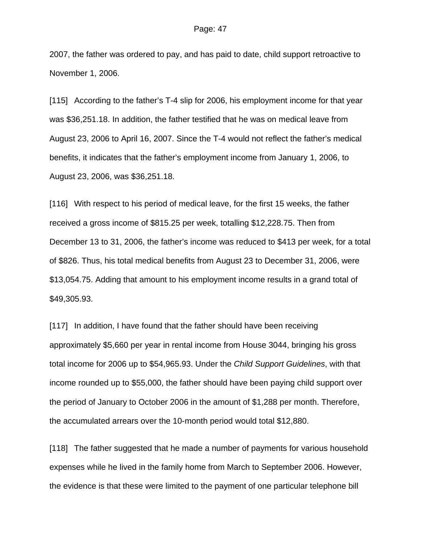2007, the father was ordered to pay, and has paid to date, child support retroactive to November 1, 2006.

[115] According to the father's T-4 slip for 2006, his employment income for that year was \$36,251.18. In addition, the father testified that he was on medical leave from August 23, 2006 to April 16, 2007. Since the T-4 would not reflect the father's medical benefits, it indicates that the father's employment income from January 1, 2006, to August 23, 2006, was \$36,251.18.

[116] With respect to his period of medical leave, for the first 15 weeks, the father received a gross income of \$815.25 per week, totalling \$12,228.75. Then from December 13 to 31, 2006, the father's income was reduced to \$413 per week, for a total of \$826. Thus, his total medical benefits from August 23 to December 31, 2006, were \$13,054.75. Adding that amount to his employment income results in a grand total of \$49,305.93.

[117] In addition, I have found that the father should have been receiving approximately \$5,660 per year in rental income from House 3044, bringing his gross total income for 2006 up to \$54,965.93. Under the *Child Support Guidelines*, with that income rounded up to \$55,000, the father should have been paying child support over the period of January to October 2006 in the amount of \$1,288 per month. Therefore, the accumulated arrears over the 10-month period would total \$12,880.

[118] The father suggested that he made a number of payments for various household expenses while he lived in the family home from March to September 2006. However, the evidence is that these were limited to the payment of one particular telephone bill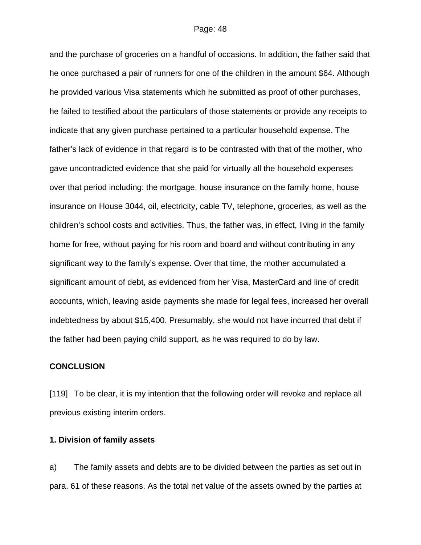and the purchase of groceries on a handful of occasions. In addition, the father said that he once purchased a pair of runners for one of the children in the amount \$64. Although he provided various Visa statements which he submitted as proof of other purchases, he failed to testified about the particulars of those statements or provide any receipts to indicate that any given purchase pertained to a particular household expense. The father's lack of evidence in that regard is to be contrasted with that of the mother, who gave uncontradicted evidence that she paid for virtually all the household expenses over that period including: the mortgage, house insurance on the family home, house insurance on House 3044, oil, electricity, cable TV, telephone, groceries, as well as the children's school costs and activities. Thus, the father was, in effect, living in the family home for free, without paying for his room and board and without contributing in any significant way to the family's expense. Over that time, the mother accumulated a significant amount of debt, as evidenced from her Visa, MasterCard and line of credit accounts, which, leaving aside payments she made for legal fees, increased her overall indebtedness by about \$15,400. Presumably, she would not have incurred that debt if the father had been paying child support, as he was required to do by law.

### **CONCLUSION**

[119] To be clear, it is my intention that the following order will revoke and replace all previous existing interim orders.

## **1. Division of family assets**

a) The family assets and debts are to be divided between the parties as set out in para. 61 of these reasons. As the total net value of the assets owned by the parties at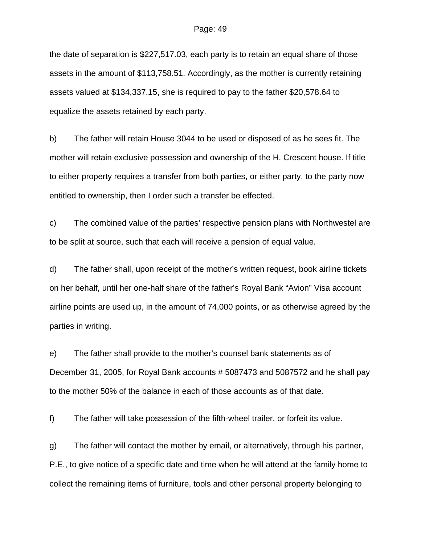the date of separation is \$227,517.03, each party is to retain an equal share of those assets in the amount of \$113,758.51. Accordingly, as the mother is currently retaining assets valued at \$134,337.15, she is required to pay to the father \$20,578.64 to equalize the assets retained by each party.

b) The father will retain House 3044 to be used or disposed of as he sees fit. The mother will retain exclusive possession and ownership of the H. Crescent house. If title to either property requires a transfer from both parties, or either party, to the party now entitled to ownership, then I order such a transfer be effected.

c) The combined value of the parties' respective pension plans with Northwestel are to be split at source, such that each will receive a pension of equal value.

d) The father shall, upon receipt of the mother's written request, book airline tickets on her behalf, until her one-half share of the father's Royal Bank "Avion" Visa account airline points are used up, in the amount of 74,000 points, or as otherwise agreed by the parties in writing.

e) The father shall provide to the mother's counsel bank statements as of December 31, 2005, for Royal Bank accounts # 5087473 and 5087572 and he shall pay to the mother 50% of the balance in each of those accounts as of that date.

f) The father will take possession of the fifth-wheel trailer, or forfeit its value.

g) The father will contact the mother by email, or alternatively, through his partner, P.E., to give notice of a specific date and time when he will attend at the family home to collect the remaining items of furniture, tools and other personal property belonging to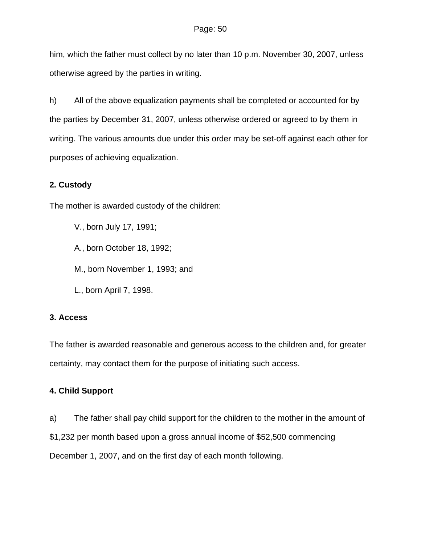him, which the father must collect by no later than 10 p.m. November 30, 2007, unless otherwise agreed by the parties in writing.

h) All of the above equalization payments shall be completed or accounted for by the parties by December 31, 2007, unless otherwise ordered or agreed to by them in writing. The various amounts due under this order may be set-off against each other for purposes of achieving equalization.

# **2. Custody**

The mother is awarded custody of the children:

V., born July 17, 1991;

A., born October 18, 1992;

M., born November 1, 1993; and

L., born April 7, 1998.

# **3. Access**

The father is awarded reasonable and generous access to the children and, for greater certainty, may contact them for the purpose of initiating such access.

# **4. Child Support**

a) The father shall pay child support for the children to the mother in the amount of \$1,232 per month based upon a gross annual income of \$52,500 commencing

December 1, 2007, and on the first day of each month following.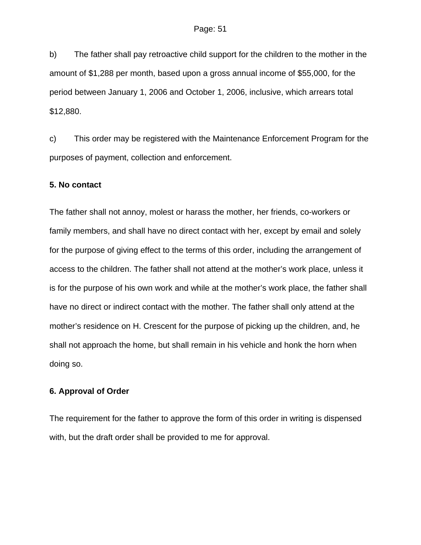b) The father shall pay retroactive child support for the children to the mother in the amount of \$1,288 per month, based upon a gross annual income of \$55,000, for the period between January 1, 2006 and October 1, 2006, inclusive, which arrears total \$12,880.

c) This order may be registered with the Maintenance Enforcement Program for the purposes of payment, collection and enforcement.

## **5. No contact**

The father shall not annoy, molest or harass the mother, her friends, co-workers or family members, and shall have no direct contact with her, except by email and solely for the purpose of giving effect to the terms of this order, including the arrangement of access to the children. The father shall not attend at the mother's work place, unless it is for the purpose of his own work and while at the mother's work place, the father shall have no direct or indirect contact with the mother. The father shall only attend at the mother's residence on H. Crescent for the purpose of picking up the children, and, he shall not approach the home, but shall remain in his vehicle and honk the horn when doing so.

# **6. Approval of Order**

The requirement for the father to approve the form of this order in writing is dispensed with, but the draft order shall be provided to me for approval.